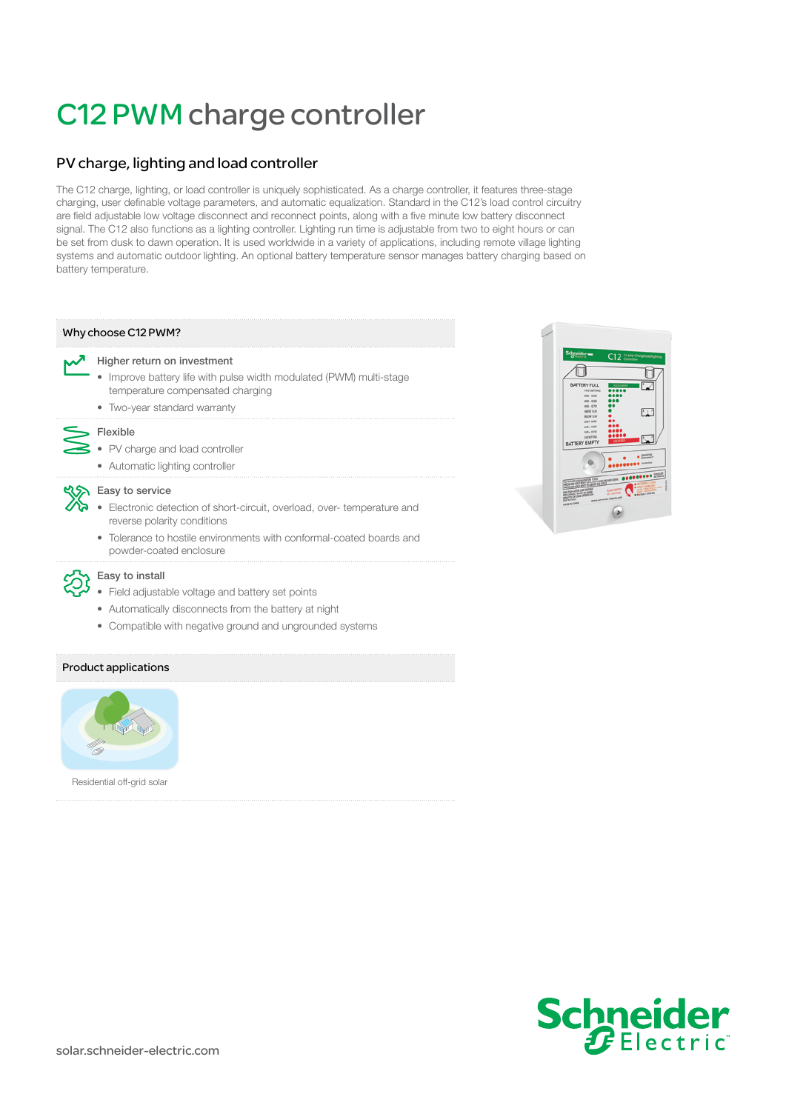# C12 PWM charge controller

# PV charge, lighting and load controller

The C12 charge, lighting, or load controller is uniquely sophisticated. As a charge controller, it features three-stage charging, user definable voltage parameters, and automatic equalization. Standard in the C12's load control circuitry are field adjustable low voltage disconnect and reconnect points, along with a five minute low battery disconnect signal. The C12 also functions as a lighting controller. Lighting run time is adjustable from two to eight hours or can be set from dusk to dawn operation. It is used worldwide in a variety of applications, including remote village lighting systems and automatic outdoor lighting. An optional battery temperature sensor manages battery charging based on battery temperature.

## Why choose C12 PWM?

#### Higher return on investment

- Improve battery life with pulse width modulated (PWM) multi-stage temperature compensated charging
- Two-year standard warranty

# Flexible

- PV charge and load controller
- Automatic lighting controller

#### **KS** Easy to service

- Electronic detection of short-circuit, overload, over- temperature and reverse polarity conditions
- Tolerance to hostile environments with conformal-coated boards and powder-coated enclosure



# Easy to install

- Field adjustable voltage and battery set points
- Automatically disconnects from the battery at night
- Compatible with negative ground and ungrounded systems

## Product applications



Residential off-grid solar